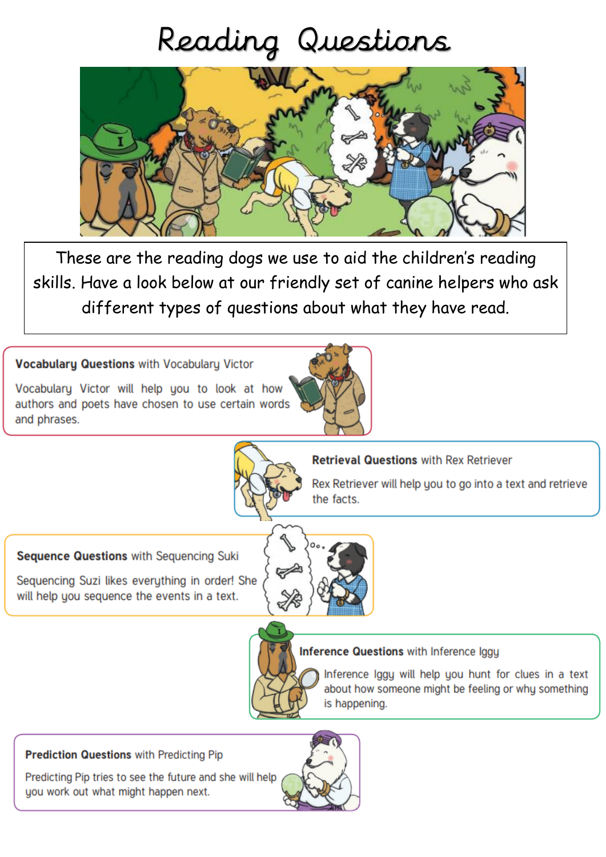## Reading Questions



These are the reading dogs we use to aid the children's reading skills. Have a look below at our friendly set of canine helpers who ask different types of questions about what they have read.

**Vocabulary Questions with Vocabulary Victor** 

Vocabulary Victor will help you to look at how authors and poets have chosen to use certain words and phrases.



**Retrieval Questions with Rex Retriever** 

Rex Retriever will help you to go into a text and retrieve the facts.

Sequence Questions with Sequencing Suki

Sequencing Suzi likes everything in order! She will help you sequence the events in a text.





## Inference Questions with Inference Iggu

Inference Iggy will help you hunt for clues in a text about how someone might be feeling or why something is happening.

**Prediction Questions with Predicting Pip** 

Predicting Pip tries to see the future and she will help you work out what might happen next.

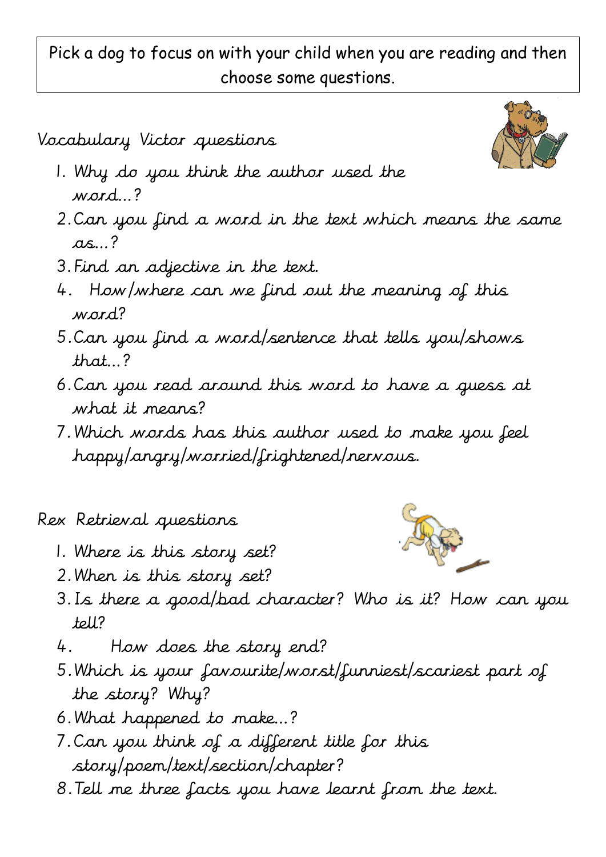Pick a dog to focus on with your child when you are reading and then choose some questions.

Vocabulary Victor questions

- 1. Why do you think the author used the word…?
- 2.Can you find a word in the text which means the same  $as.$ ?
- 3.Find an adjective in the text.
- 4. How/where can we find out the meaning of this word?
- 5.Can you find a word/sentence that tells you/shows that…?
- 6.Can you read around this word to have a guess at what it means?
- 7.Which words has this author used to make you feel happy/angry/worried/frightened/nervous.

Rex Retrieval questions

- 1. Where is this story set?
- 2.When is this story set?
- 3.Is there a good/bad character? Who is it? How can you tell?
- 4. How does the story end?
- 5.Which is your favourite/worst/funniest/scariest part of the story? Why?
- 6.What happened to make…?
- 7.Can you think of a different title for this story/poem/text/section/chapter?
- 8.Tell me three facts you have learnt from the text.



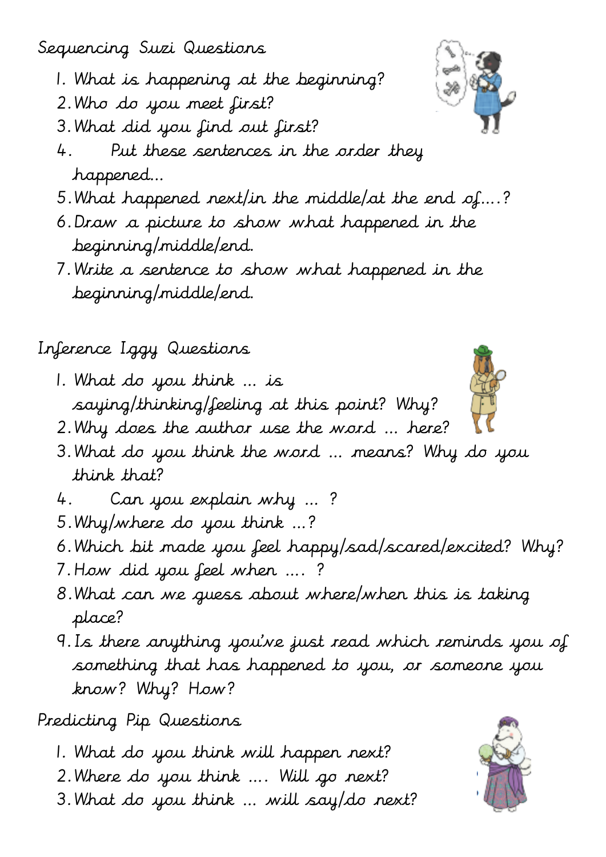Sequencing Suzi Questions

- 1. What is happening at the beginning?
- 2.Who do you meet first?
- 3.What did you find out first?
- 4. Put these sentences in the order they happened…
- 5.What happened next/in the middle/at the end of….?
- 6.Draw a picture to show what happened in the beginning/middle/end.
- 7.Write a sentence to show what happened in the beginning/middle/end.

Inference Iggy Questions

- 1. What do you think … is saying/thinking/feeling at this point? Why?
- 2.Why does the author use the word … here?
- 3.What do you think the word … means? Why do you think that?
- 4. Can you explain why … ?
- 5.Why/where do you think …?
- 6.Which bit made you feel happy/sad/scared/excited? Why?
- 7.How did you feel when …. ?
- 8.What can we guess about where/when this is taking place?
- 9.Is there anything you've just read which reminds you of something that has happened to you, or someone you know? Why? How?

Predicting Pip Questions

- 1. What do you think will happen next?
- 2.Where do you think …. Will go next?
- 3.What do you think … will say/do next?